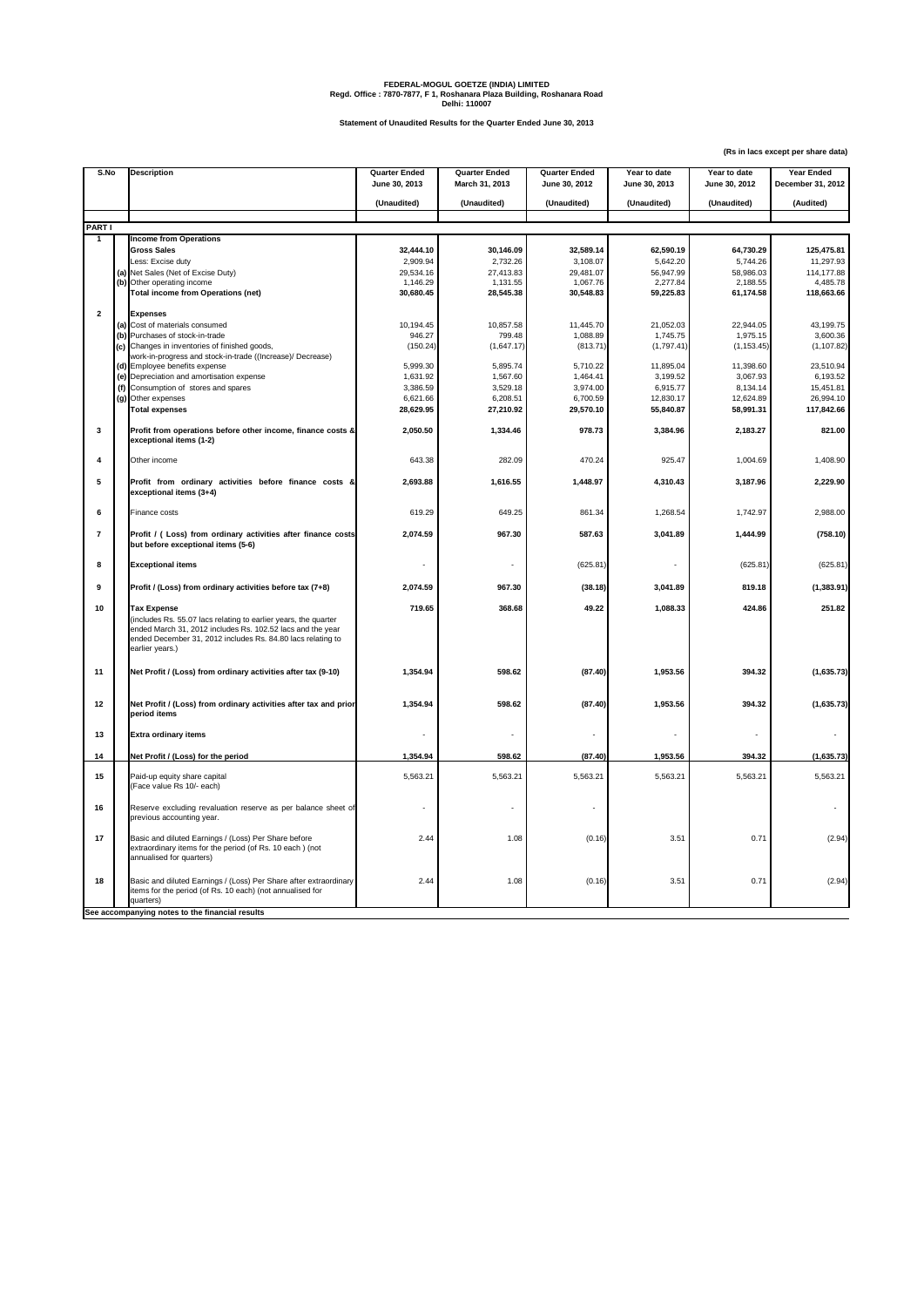**(Rs in lacs except per share data)**

| S.No                         | <b>Description</b>                                        |                                                                                                                                                                                              |                              | <b>Quarter Ended</b><br>March 31, 2013 | <b>Quarter Ended</b><br>June 30, 2012 | Year to date<br>June 30, 2013 | Year to date<br>June 30, 2012 | <b>Year Ended</b><br><b>December 31, 2012</b> |
|------------------------------|-----------------------------------------------------------|----------------------------------------------------------------------------------------------------------------------------------------------------------------------------------------------|------------------------------|----------------------------------------|---------------------------------------|-------------------------------|-------------------------------|-----------------------------------------------|
|                              |                                                           |                                                                                                                                                                                              | June 30, 2013<br>(Unaudited) | (Unaudited)                            | (Unaudited)                           | (Unaudited)                   | (Unaudited)                   | (Audited)                                     |
|                              |                                                           |                                                                                                                                                                                              |                              |                                        |                                       |                               |                               |                                               |
| <b>PART I</b><br>$\mathbf 1$ | <b>Income from Operations</b>                             |                                                                                                                                                                                              |                              |                                        |                                       |                               |                               |                                               |
|                              | <b>Gross Sales</b>                                        |                                                                                                                                                                                              | 32,444.10                    | 30,146.09                              | 32,589.14                             | 62,590.19                     | 64,730.29                     | 125,475.81                                    |
|                              | Less: Excise duty                                         |                                                                                                                                                                                              | 2,909.94                     | 2,732.26                               | 3,108.07                              | 5,642.20                      | 5,744.26                      | 11,297.93                                     |
|                              | (a) Net Sales (Net of Excise Duty)                        |                                                                                                                                                                                              | 29,534.16                    | 27,413.83                              | 29,481.07                             | 56,947.99                     | 58,986.03                     | 114,177.88                                    |
|                              | (b) Other operating income                                |                                                                                                                                                                                              | 1,146.29                     | 1,131.55                               | 1,067.76                              | 2,277.84                      | 2,188.55                      | 4,485.78                                      |
|                              |                                                           | <b>Total income from Operations (net)</b>                                                                                                                                                    | 30,680.45                    | 28,545.38                              | 30,548.83                             | 59,225.83                     | 61,174.58                     | 118,663.66                                    |
| $\overline{2}$               | <b>Expenses</b>                                           |                                                                                                                                                                                              |                              |                                        |                                       |                               |                               |                                               |
|                              | (a) Cost of materials consumed                            |                                                                                                                                                                                              | 10,194.45                    | 10,857.58                              | 11,445.70                             | 21,052.03                     | 22,944.05                     | 43,199.75                                     |
|                              | (b) Purchases of stock-in-trade                           |                                                                                                                                                                                              | 946.27                       | 799.48                                 | 1,088.89                              | 1,745.75                      | 1,975.15                      | 3,600.36                                      |
|                              |                                                           | (c) Changes in inventories of finished goods,                                                                                                                                                | (150.24)                     | (1,647.17)                             | (813.71)                              | (1,797.41)                    | (1, 153.45)                   | (1, 107.82)                                   |
|                              |                                                           | work-in-progress and stock-in-trade ((Increase)/ Decrease)                                                                                                                                   |                              |                                        |                                       |                               |                               |                                               |
|                              | (d) Employee benefits expense                             |                                                                                                                                                                                              | 5,999.30                     | 5,895.74                               | 5,710.22                              | 11,895.04                     | 11,398.60                     | 23,510.94                                     |
|                              |                                                           | (e) Depreciation and amortisation expense                                                                                                                                                    | 1,631.92                     | 1,567.60                               | 1,464.41                              | 3,199.52                      | 3,067.93                      | 6,193.52                                      |
|                              |                                                           | (f) Consumption of stores and spares                                                                                                                                                         | 3,386.59                     | 3,529.18                               | 3,974.00                              | 6,915.77                      | 8,134.14                      | 15,451.81                                     |
|                              | (g) Other expenses                                        |                                                                                                                                                                                              | 6,621.66                     | 6,208.51                               | 6,700.59                              | 12,830.17                     | 12,624.89                     | 26,994.10                                     |
|                              | <b>Total expenses</b>                                     |                                                                                                                                                                                              | 28,629.95                    | 27,210.92                              | 29,570.10                             | 55,840.87                     | 58,991.31                     | 117,842.66                                    |
| 3                            | exceptional items (1-2)                                   | Profit from operations before other income, finance costs &                                                                                                                                  | 2,050.50                     | 1,334.46                               | 978.73                                | 3,384.96                      | 2,183.27                      | 821.00                                        |
| 4                            | Other income                                              |                                                                                                                                                                                              | 643.38                       | 282.09                                 | 470.24                                | 925.47                        | 1,004.69                      | 1,408.90                                      |
| $5\phantom{1}$               | exceptional items (3+4)                                   | Profit from ordinary activities before finance costs &                                                                                                                                       | 2,693.88                     | 1,616.55                               | 1,448.97                              | 4,310.43                      | 3,187.96                      | 2,229.90                                      |
| 6                            | Finance costs                                             |                                                                                                                                                                                              | 619.29                       | 649.25                                 | 861.34                                | 1,268.54                      | 1,742.97                      | 2,988.00                                      |
| $\overline{7}$               |                                                           | Profit / (Loss) from ordinary activities after finance costs<br>but before exceptional items (5-6)                                                                                           | 2,074.59                     | 967.30                                 | 587.63                                | 3,041.89                      | 1,444.99                      | (758.10)                                      |
| 8                            | <b>Exceptional items</b>                                  |                                                                                                                                                                                              |                              |                                        | (625.81)                              |                               | (625.81)                      | (625.81)                                      |
| 9                            |                                                           | Profit / (Loss) from ordinary activities before tax (7+8)                                                                                                                                    | 2,074.59                     | 967.30                                 | (38.18)                               | 3,041.89                      | 819.18                        | (1, 383.91)                                   |
| 10                           | <b>Tax Expense</b><br>earlier years.)                     | (includes Rs. 55.07 lacs relating to earlier years, the quarter<br>ended March 31, 2012 includes Rs. 102.52 lacs and the year<br>ended December 31, 2012 includes Rs. 84.80 lacs relating to | 719.65                       | 368.68                                 | 49.22                                 | 1,088.33                      | 424.86                        | 251.82                                        |
| 11                           |                                                           | Net Profit / (Loss) from ordinary activities after tax (9-10)                                                                                                                                | 1,354.94                     | 598.62                                 | (87.40)                               | 1,953.56                      | 394.32                        | (1,635.73)                                    |
| 12                           | period items                                              | Net Profit / (Loss) from ordinary activities after tax and prior                                                                                                                             | 1,354.94                     | 598.62                                 | (87.40)                               | 1,953.56                      | 394.32                        | (1,635.73)                                    |
| 13                           | <b>Extra ordinary items</b>                               |                                                                                                                                                                                              |                              |                                        |                                       |                               |                               |                                               |
| 14                           |                                                           | Net Profit / (Loss) for the period                                                                                                                                                           | 1,354.94                     | 598.62                                 | (87.40)                               | 1,953.56                      | 394.32                        | (1,635.73)                                    |
| 15                           | Paid-up equity share capital<br>(Face value Rs 10/- each) |                                                                                                                                                                                              | 5,563.21                     | 5,563.21                               | 5,563.21                              | 5,563.21                      | 5,563.21                      | 5,563.21                                      |
| 16                           | previous accounting year.                                 | Reserve excluding revaluation reserve as per balance sheet of                                                                                                                                |                              |                                        |                                       |                               |                               |                                               |
| 17                           | annualised for quarters)                                  | Basic and diluted Earnings / (Loss) Per Share before<br>extraordinary items for the period (of Rs. 10 each) (not                                                                             | 2.44                         | 1.08                                   | (0.16)                                | 3.51                          | 0.71                          | (2.94)                                        |
| 18                           | quarters)                                                 | Basic and diluted Earnings / (Loss) Per Share after extraordinary<br>items for the period (of Rs. 10 each) (not annualised for                                                               | 2.44                         | 1.08                                   | (0.16)                                | 3.51                          | 0.71                          | (2.94)                                        |
|                              |                                                           | See accompanying notes to the financial results                                                                                                                                              |                              |                                        |                                       |                               |                               |                                               |

## **FEDERAL-MOGUL GOETZE (INDIA) LIMITED Regd. Office : 7870-7877, F 1, Roshanara Plaza Building, Roshanara Road Delhi: 110007**

**Statement of Unaudited Results for the Quarter Ended June 30, 2013**